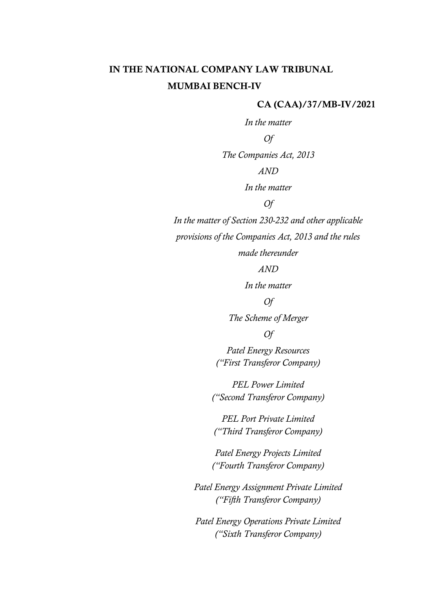# IN THE NATIONAL COMPANY LAW TRIBUNAL MUMBAI BENCH-IV

#### CA (CAA)/37/MB-IV/2021

*In the matter Of The Companies Act, 2013 AND In the matter Of In the matter of Section 230-232 and other applicable provisions of the Companies Act, 2013 and the rules* 

*made thereunder*

*AND*

*In the matter*

### *Of*

*The Scheme of Merger*

#### *Of*

*Patel Energy Resources ("First Transferor Company)*

*PEL Power Limited ("Second Transferor Company)*

*PEL Port Private Limited ("Third Transferor Company)*

*Patel Energy Projects Limited ("Fourth Transferor Company)*

*Patel Energy Assignment Private Limited ("Fifth Transferor Company)*

*Patel Energy Operations Private Limited ("Sixth Transferor Company)*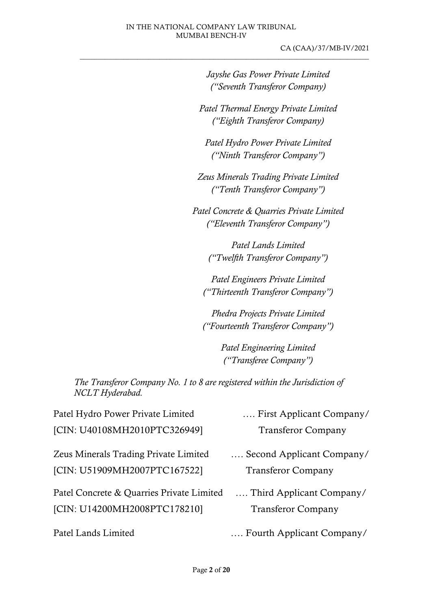CA (CAA)/37/MB-IV/2021  $\_$  , and the set of the set of the set of the set of the set of the set of the set of the set of the set of the set of the set of the set of the set of the set of the set of the set of the set of the set of the set of th

> *Jayshe Gas Power Private Limited ("Seventh Transferor Company)*

*Patel Thermal Energy Private Limited ("Eighth Transferor Company)*

*Patel Hydro Power Private Limited ("Ninth Transferor Company")*

*Zeus Minerals Trading Private Limited ("Tenth Transferor Company")*

*Patel Concrete & Quarries Private Limited ("Eleventh Transferor Company")*

> *Patel Lands Limited ("Twelfth Transferor Company")*

*Patel Engineers Private Limited ("Thirteenth Transferor Company")*

*Phedra Projects Private Limited ("Fourteenth Transferor Company")*

> *Patel Engineering Limited ("Transferee Company")*

*The Transferor Company No. 1 to 8 are registered within the Jurisdiction of NCLT Hyderabad.* 

| Patel Hydro Power Private Limited            | First Applicant Company/  |
|----------------------------------------------|---------------------------|
| [CIN: U40108MH2010PTC326949]                 | <b>Transferor Company</b> |
| <b>Zeus Minerals Trading Private Limited</b> | Second Applicant Company/ |
| [CIN: U51909MH2007PTC167522]                 | <b>Transferor Company</b> |
| Patel Concrete & Quarries Private Limited    | Third Applicant Company/  |
| [CIN: U14200MH2008PTC178210]                 | <b>Transferor Company</b> |
| Patel Lands Limited                          | Fourth Applicant Company/ |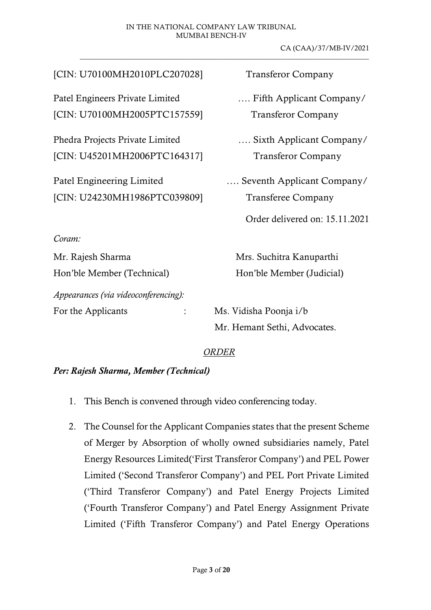#### IN THE NATIONAL COMPANY LAW TRIBUNAL MUMBAI BENCH-IV

CA (CAA)/37/MB-IV/2021

| [CIN: U70100MH2010PLC207028]         | <b>Transferor Company</b>      |
|--------------------------------------|--------------------------------|
| Patel Engineers Private Limited      | Fifth Applicant Company/       |
| [CIN: U70100MH2005PTC157559]         | <b>Transferor Company</b>      |
| Phedra Projects Private Limited      | Sixth Applicant Company/       |
| [CIN: U45201MH2006PTC164317]         | <b>Transferor Company</b>      |
| Patel Engineering Limited            | Seventh Applicant Company/     |
| [CIN: U24230MH1986PTC039809]         | <b>Transferee Company</b>      |
|                                      | Order delivered on: 15.11.2021 |
| Coram:                               |                                |
| Mr. Rajesh Sharma                    | Mrs. Suchitra Kanuparthi       |
| Hon'ble Member (Technical)           | Hon'ble Member (Judicial)      |
| Appearances (via videoconferencing): |                                |
| For the Applicants                   | Ms. Vidisha Poonja i/b         |
|                                      | Mr. Hemant Sethi, Advocates.   |
|                                      |                                |

#### *ORDER*

#### *Per: Rajesh Sharma, Member (Technical)*

- 1. This Bench is convened through video conferencing today.
- 2. The Counsel for the Applicant Companies states that the present Scheme of Merger by Absorption of wholly owned subsidiaries namely, Patel Energy Resources Limited('First Transferor Company') and PEL Power Limited ('Second Transferor Company') and PEL Port Private Limited ('Third Transferor Company') and Patel Energy Projects Limited ('Fourth Transferor Company') and Patel Energy Assignment Private Limited ('Fifth Transferor Company') and Patel Energy Operations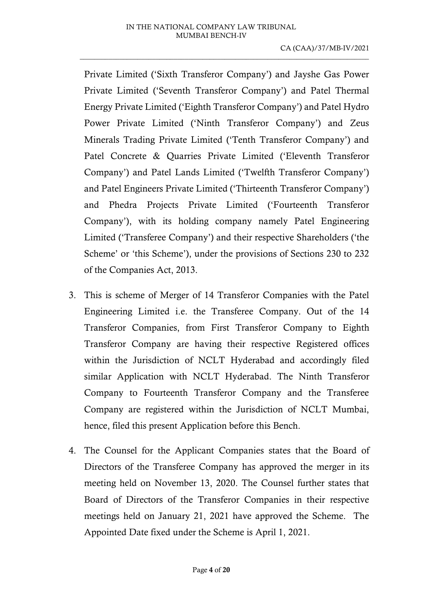$\_$  , and the set of the set of the set of the set of the set of the set of the set of the set of the set of the set of the set of the set of the set of the set of the set of the set of the set of the set of the set of th

Private Limited ('Sixth Transferor Company') and Jayshe Gas Power Private Limited ('Seventh Transferor Company') and Patel Thermal Energy Private Limited ('Eighth Transferor Company') and Patel Hydro Power Private Limited ('Ninth Transferor Company') and Zeus Minerals Trading Private Limited ('Tenth Transferor Company') and Patel Concrete & Quarries Private Limited ('Eleventh Transferor Company') and Patel Lands Limited ('Twelfth Transferor Company') and Patel Engineers Private Limited ('Thirteenth Transferor Company') and Phedra Projects Private Limited ('Fourteenth Transferor Company'), with its holding company namely Patel Engineering Limited ('Transferee Company') and their respective Shareholders ('the Scheme' or 'this Scheme'), under the provisions of Sections 230 to 232 of the Companies Act, 2013.

- 3. This is scheme of Merger of 14 Transferor Companies with the Patel Engineering Limited i.e. the Transferee Company. Out of the 14 Transferor Companies, from First Transferor Company to Eighth Transferor Company are having their respective Registered offices within the Jurisdiction of NCLT Hyderabad and accordingly filed similar Application with NCLT Hyderabad. The Ninth Transferor Company to Fourteenth Transferor Company and the Transferee Company are registered within the Jurisdiction of NCLT Mumbai, hence, filed this present Application before this Bench.
- 4. The Counsel for the Applicant Companies states that the Board of Directors of the Transferee Company has approved the merger in its meeting held on November 13, 2020. The Counsel further states that Board of Directors of the Transferor Companies in their respective meetings held on January 21, 2021 have approved the Scheme. The Appointed Date fixed under the Scheme is April 1, 2021.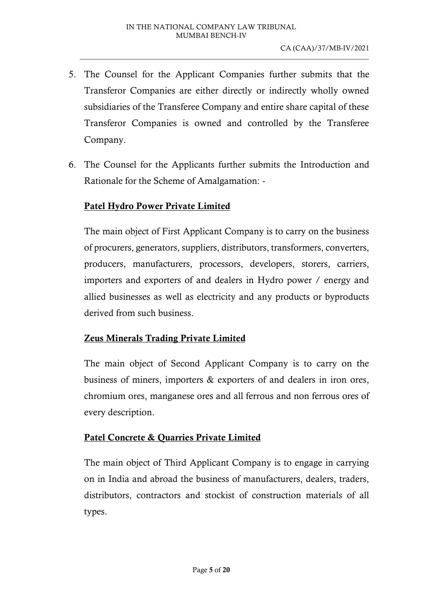- 5. The Counsel for the Applicant Companies further submits that the Transferor Companies are either directly or indirectly wholly owned subsidiaries of the Transferee Company and entire share capital of these Transferor Companies is owned and controlled by the Transferee Company.
- 6. The Counsel for the Applicants further submits the Introduction and Rationale for the Scheme of Amalgamation: -

## Patel Hydro Power Private Limited

The main object of First Applicant Company is to carry on the business of procurers, generators, suppliers, distributors, transformers, converters, producers, manufacturers, processors, developers, storers, carriers, importers and exporters of and dealers in Hydro power / energy and allied businesses as well as electricity and any products or byproducts derived from such business.

#### Zeus Minerals Trading Private Limited

The main object of Second Applicant Company is to carry on the business of miners, importers & exporters of and dealers in iron ores, chromium ores, manganese ores and all ferrous and non ferrous ores of every description.

# Patel Concrete & Quarries Private Limited

The main object of Third Applicant Company is to engage in carrying on in India and abroad the business of manufacturers, dealers, traders, distributors, contractors and stockist of construction materials of all types.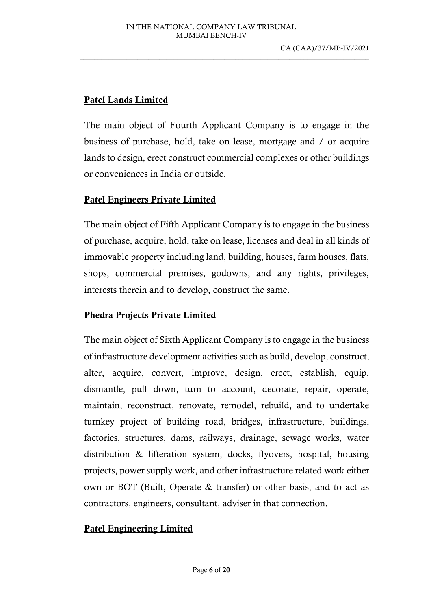$\_$  , and the set of the set of the set of the set of the set of the set of the set of the set of the set of the set of the set of the set of the set of the set of the set of the set of the set of the set of the set of th

# Patel Lands Limited

The main object of Fourth Applicant Company is to engage in the business of purchase, hold, take on lease, mortgage and / or acquire lands to design, erect construct commercial complexes or other buildings or conveniences in India or outside.

# Patel Engineers Private Limited

The main object of Fifth Applicant Company is to engage in the business of purchase, acquire, hold, take on lease, licenses and deal in all kinds of immovable property including land, building, houses, farm houses, flats, shops, commercial premises, godowns, and any rights, privileges, interests therein and to develop, construct the same.

# Phedra Projects Private Limited

The main object of Sixth Applicant Company is to engage in the business of infrastructure development activities such as build, develop, construct, alter, acquire, convert, improve, design, erect, establish, equip, dismantle, pull down, turn to account, decorate, repair, operate, maintain, reconstruct, renovate, remodel, rebuild, and to undertake turnkey project of building road, bridges, infrastructure, buildings, factories, structures, dams, railways, drainage, sewage works, water distribution & lifteration system, docks, flyovers, hospital, housing projects, power supply work, and other infrastructure related work either own or BOT (Built, Operate & transfer) or other basis, and to act as contractors, engineers, consultant, adviser in that connection.

# Patel Engineering Limited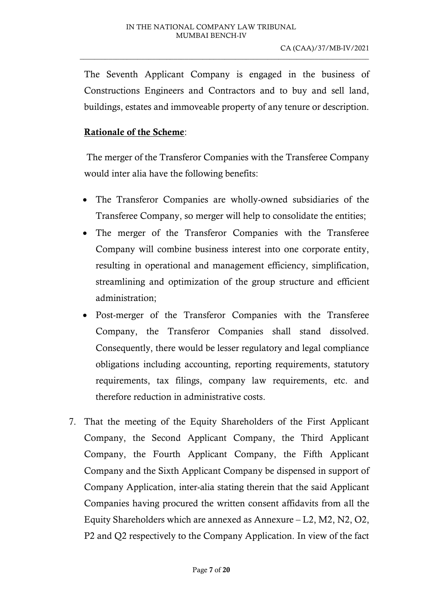The Seventh Applicant Company is engaged in the business of Constructions Engineers and Contractors and to buy and sell land, buildings, estates and immoveable property of any tenure or description.

 $\_$  , and the set of the set of the set of the set of the set of the set of the set of the set of the set of the set of the set of the set of the set of the set of the set of the set of the set of the set of the set of th

### Rationale of the Scheme:

The merger of the Transferor Companies with the Transferee Company would inter alia have the following benefits:

- The Transferor Companies are wholly-owned subsidiaries of the Transferee Company, so merger will help to consolidate the entities;
- The merger of the Transferor Companies with the Transferee Company will combine business interest into one corporate entity, resulting in operational and management efficiency, simplification, streamlining and optimization of the group structure and efficient administration;
- Post-merger of the Transferor Companies with the Transferee Company, the Transferor Companies shall stand dissolved. Consequently, there would be lesser regulatory and legal compliance obligations including accounting, reporting requirements, statutory requirements, tax filings, company law requirements, etc. and therefore reduction in administrative costs.
- 7. That the meeting of the Equity Shareholders of the First Applicant Company, the Second Applicant Company, the Third Applicant Company, the Fourth Applicant Company, the Fifth Applicant Company and the Sixth Applicant Company be dispensed in support of Company Application, inter-alia stating therein that the said Applicant Companies having procured the written consent affidavits from all the Equity Shareholders which are annexed as Annexure – L2, M2, N2, O2, P2 and Q2 respectively to the Company Application. In view of the fact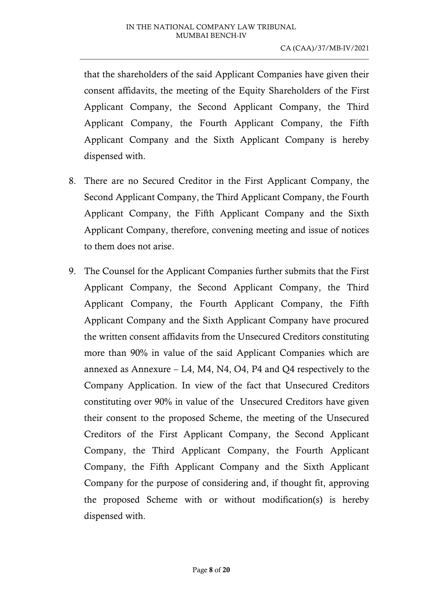that the shareholders of the said Applicant Companies have given their consent affidavits, the meeting of the Equity Shareholders of the First Applicant Company, the Second Applicant Company, the Third Applicant Company, the Fourth Applicant Company, the Fifth Applicant Company and the Sixth Applicant Company is hereby dispensed with.

- 8. There are no Secured Creditor in the First Applicant Company, the Second Applicant Company, the Third Applicant Company, the Fourth Applicant Company, the Fifth Applicant Company and the Sixth Applicant Company, therefore, convening meeting and issue of notices to them does not arise.
- 9. The Counsel for the Applicant Companies further submits that the First Applicant Company, the Second Applicant Company, the Third Applicant Company, the Fourth Applicant Company, the Fifth Applicant Company and the Sixth Applicant Company have procured the written consent affidavits from the Unsecured Creditors constituting more than 90% in value of the said Applicant Companies which are annexed as Annexure – L4, M4, N4, O4, P4 and Q4 respectively to the Company Application. In view of the fact that Unsecured Creditors constituting over 90% in value of the Unsecured Creditors have given their consent to the proposed Scheme, the meeting of the Unsecured Creditors of the First Applicant Company, the Second Applicant Company, the Third Applicant Company, the Fourth Applicant Company, the Fifth Applicant Company and the Sixth Applicant Company for the purpose of considering and, if thought fit, approving the proposed Scheme with or without modification(s) is hereby dispensed with.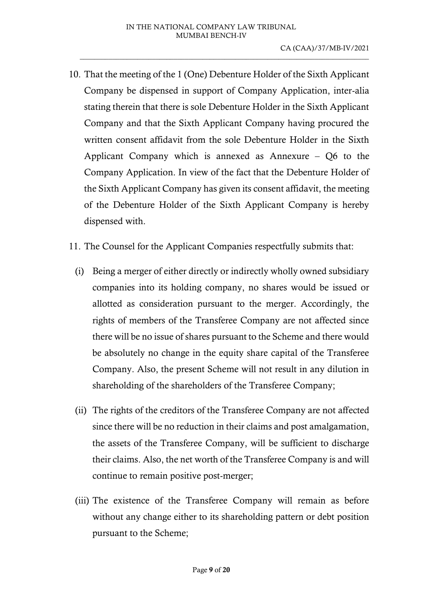- 10. That the meeting of the 1 (One) Debenture Holder of the Sixth Applicant Company be dispensed in support of Company Application, inter-alia stating therein that there is sole Debenture Holder in the Sixth Applicant Company and that the Sixth Applicant Company having procured the written consent affidavit from the sole Debenture Holder in the Sixth Applicant Company which is annexed as Annexure – Q6 to the Company Application. In view of the fact that the Debenture Holder of the Sixth Applicant Company has given its consent affidavit, the meeting of the Debenture Holder of the Sixth Applicant Company is hereby dispensed with.
- 11. The Counsel for the Applicant Companies respectfully submits that:
	- (i) Being a merger of either directly or indirectly wholly owned subsidiary companies into its holding company, no shares would be issued or allotted as consideration pursuant to the merger. Accordingly, the rights of members of the Transferee Company are not affected since there will be no issue of shares pursuant to the Scheme and there would be absolutely no change in the equity share capital of the Transferee Company. Also, the present Scheme will not result in any dilution in shareholding of the shareholders of the Transferee Company;
	- (ii) The rights of the creditors of the Transferee Company are not affected since there will be no reduction in their claims and post amalgamation, the assets of the Transferee Company, will be sufficient to discharge their claims. Also, the net worth of the Transferee Company is and will continue to remain positive post-merger;
	- (iii) The existence of the Transferee Company will remain as before without any change either to its shareholding pattern or debt position pursuant to the Scheme;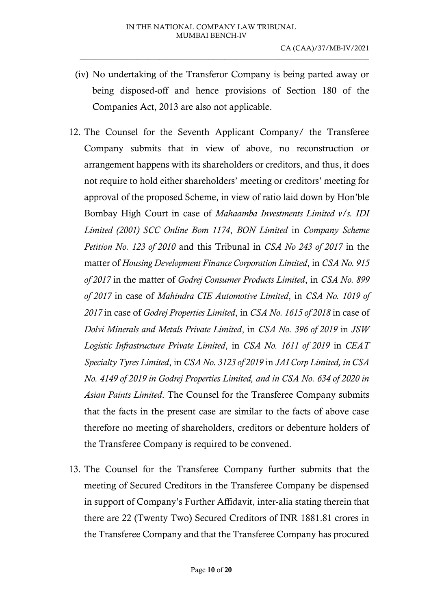- (iv) No undertaking of the Transferor Company is being parted away or being disposed-off and hence provisions of Section 180 of the Companies Act, 2013 are also not applicable.
- 12. The Counsel for the Seventh Applicant Company/ the Transferee Company submits that in view of above, no reconstruction or arrangement happens with its shareholders or creditors, and thus, it does not require to hold either shareholders' meeting or creditors' meeting for approval of the proposed Scheme, in view of ratio laid down by Hon'ble Bombay High Court in case of *Mahaamba Investments Limited v/s. IDI Limited (2001) SCC Online Bom 1174*, *BON Limited* in *Company Scheme Petition No. 123 of 2010* and this Tribunal in *CSA No 243 of 2017* in the matter of *Housing Development Finance Corporation Limited*, in *CSA No. 915 of 2017* in the matter of *Godrej Consumer Products Limited*, in *CSA No. 899 of 2017* in case of *Mahindra CIE Automotive Limited*, in *CSA No. 1019 of 2017* in case of *Godrej Properties Limited*, in *CSA No. 1615 of 2018* in case of *Dolvi Minerals and Metals Private Limited*, in *CSA No. 396 of 2019* in *JSW Logistic Infrastructure Private Limited*, in *CSA No. 1611 of 2019* in *CEAT Specialty Tyres Limited*, in *CSA No. 3123 of 2019* in *JAI Corp Limited, in CSA No. 4149 of 2019 in Godrej Properties Limited, and in CSA No. 634 of 2020 in Asian Paints Limited*. The Counsel for the Transferee Company submits that the facts in the present case are similar to the facts of above case therefore no meeting of shareholders, creditors or debenture holders of the Transferee Company is required to be convened.
- 13. The Counsel for the Transferee Company further submits that the meeting of Secured Creditors in the Transferee Company be dispensed in support of Company's Further Affidavit, inter-alia stating therein that there are 22 (Twenty Two) Secured Creditors of INR 1881.81 crores in the Transferee Company and that the Transferee Company has procured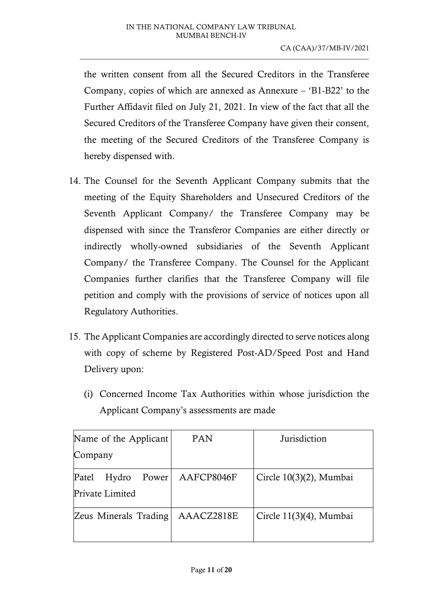the written consent from all the Secured Creditors in the Transferee Company, copies of which are annexed as Annexure – 'B1-B22' to the Further Affidavit filed on July 21, 2021. In view of the fact that all the Secured Creditors of the Transferee Company have given their consent, the meeting of the Secured Creditors of the Transferee Company is hereby dispensed with.

- 14. The Counsel for the Seventh Applicant Company submits that the meeting of the Equity Shareholders and Unsecured Creditors of the Seventh Applicant Company/ the Transferee Company may be dispensed with since the Transferor Companies are either directly or indirectly wholly-owned subsidiaries of the Seventh Applicant Company/ the Transferee Company. The Counsel for the Applicant Companies further clarifies that the Transferee Company will file petition and comply with the provisions of service of notices upon all Regulatory Authorities.
- 15. The Applicant Companies are accordingly directed to serve notices along with copy of scheme by Registered Post-AD/Speed Post and Hand Delivery upon:
	- (i) Concerned Income Tax Authorities within whose jurisdiction the Applicant Company's assessments are made

| Name of the Applicant                      | PAN        | Jurisdiction            |  |
|--------------------------------------------|------------|-------------------------|--|
| Company                                    |            |                         |  |
| Patel<br>Hydro<br>Power<br>Private Limited | AAFCP8046F | Circle 10(3)(2), Mumbai |  |
| Zeus Minerals Trading                      | AAACZ2818E | Circle 11(3)(4), Mumbai |  |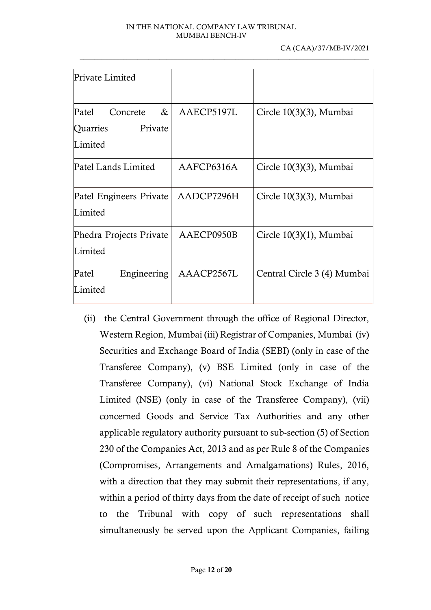| Private Limited                               |            |                             |
|-----------------------------------------------|------------|-----------------------------|
| Patel<br>&<br>Concrete<br>Quarries<br>Private | AAECP5197L | Circle 10(3)(3), Mumbai     |
| Limited                                       |            |                             |
| Patel Lands Limited                           | AAFCP6316A | Circle 10(3)(3), Mumbai     |
| Patel Engineers Private<br>Limited            | AADCP7296H | Circle 10(3)(3), Mumbai     |
| Phedra Projects Private<br>Limited            | AAECP0950B | Circle $10(3)(1)$ , Mumbai  |
| Patel<br>Engineering<br>Limited               | AAACP2567L | Central Circle 3 (4) Mumbai |

(ii) the Central Government through the office of Regional Director, Western Region, Mumbai (iii) Registrar of Companies, Mumbai (iv) Securities and Exchange Board of India (SEBI) (only in case of the Transferee Company), (v) BSE Limited (only in case of the Transferee Company), (vi) National Stock Exchange of India Limited (NSE) (only in case of the Transferee Company), (vii) concerned Goods and Service Tax Authorities and any other applicable regulatory authority pursuant to sub-section (5) of Section 230 of the Companies Act, 2013 and as per Rule 8 of the Companies (Compromises, Arrangements and Amalgamations) Rules, 2016, with a direction that they may submit their representations, if any, within a period of thirty days from the date of receipt of such notice to the Tribunal with copy of such representations shall simultaneously be served upon the Applicant Companies, failing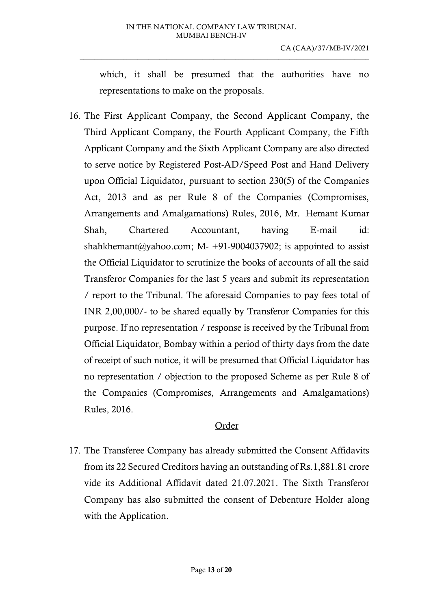which, it shall be presumed that the authorities have no representations to make on the proposals.

 $\_$  , and the set of the set of the set of the set of the set of the set of the set of the set of the set of the set of the set of the set of the set of the set of the set of the set of the set of the set of the set of th

16. The First Applicant Company, the Second Applicant Company, the Third Applicant Company, the Fourth Applicant Company, the Fifth Applicant Company and the Sixth Applicant Company are also directed to serve notice by Registered Post-AD/Speed Post and Hand Delivery upon Official Liquidator, pursuant to section 230(5) of the Companies Act, 2013 and as per Rule 8 of the Companies (Compromises, Arrangements and Amalgamations) Rules, 2016, Mr. Hemant Kumar Shah, Chartered Accountant, having E-mail id: shahkhemant@yahoo.com; M- +91-9004037902; is appointed to assist the Official Liquidator to scrutinize the books of accounts of all the said Transferor Companies for the last 5 years and submit its representation / report to the Tribunal. The aforesaid Companies to pay fees total of INR 2,00,000/- to be shared equally by Transferor Companies for this purpose. If no representation / response is received by the Tribunal from Official Liquidator, Bombay within a period of thirty days from the date of receipt of such notice, it will be presumed that Official Liquidator has no representation / objection to the proposed Scheme as per Rule 8 of the Companies (Compromises, Arrangements and Amalgamations) Rules, 2016.

# Order

17. The Transferee Company has already submitted the Consent Affidavits from its 22 Secured Creditors having an outstanding of Rs.1,881.81 crore vide its Additional Affidavit dated 21.07.2021. The Sixth Transferor Company has also submitted the consent of Debenture Holder along with the Application.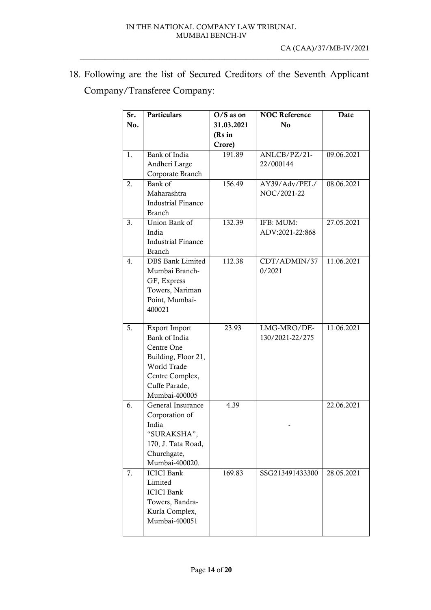18. Following are the list of Secured Creditors of the Seventh Applicant Company/Transferee Company:

| Sr. | <b>Particulars</b>        | $O/S$ as on | <b>NOC Reference</b> | Date       |
|-----|---------------------------|-------------|----------------------|------------|
| No. |                           | 31.03.2021  | N <sub>0</sub>       |            |
|     |                           | (Rs in      |                      |            |
|     |                           | Crore)      |                      |            |
| 1.  | Bank of India             | 191.89      | ANLCB/PZ/21-         | 09.06.2021 |
|     | Andheri Large             |             | 22/000144            |            |
|     | Corporate Branch          |             |                      |            |
| 2.  | Bank of                   | 156.49      | AY39/Adv/PEL/        | 08.06.2021 |
|     | Maharashtra               |             | NOC/2021-22          |            |
|     | <b>Industrial Finance</b> |             |                      |            |
|     | <b>Branch</b>             |             |                      |            |
| 3.  | Union Bank of             | 132.39      | IFB: MUM:            | 27.05.2021 |
|     | India                     |             | ADV:2021-22:868      |            |
|     | <b>Industrial Finance</b> |             |                      |            |
|     | <b>Branch</b>             |             |                      |            |
| 4.  | DBS Bank Limited          | 112.38      | CDT/ADMIN/37         | 11.06.2021 |
|     | Mumbai Branch-            |             | 0/2021               |            |
|     | GF, Express               |             |                      |            |
|     | Towers, Nariman           |             |                      |            |
|     | Point, Mumbai-            |             |                      |            |
|     | 400021                    |             |                      |            |
| 5.  | <b>Export Import</b>      | 23.93       | LMG-MRO/DE-          | 11.06.2021 |
|     | Bank of India             |             | 130/2021-22/275      |            |
|     | Centre One                |             |                      |            |
|     | Building, Floor 21,       |             |                      |            |
|     | World Trade               |             |                      |            |
|     | Centre Complex,           |             |                      |            |
|     | Cuffe Parade,             |             |                      |            |
|     | Mumbai-400005             |             |                      |            |
| 6.  | General Insurance         | 4.39        |                      | 22.06.2021 |
|     | Corporation of            |             |                      |            |
|     | India                     |             |                      |            |
|     | "SURAKSHA",               |             |                      |            |
|     | 170, J. Tata Road,        |             |                      |            |
|     | Churchgate,               |             |                      |            |
|     | Mumbai-400020.            |             |                      |            |
| 7.  | <b>ICICI Bank</b>         | 169.83      | SSG213491433300      | 28.05.2021 |
|     | Limited                   |             |                      |            |
|     | <b>ICICI Bank</b>         |             |                      |            |
|     | Towers, Bandra-           |             |                      |            |
|     | Kurla Complex,            |             |                      |            |
|     | Mumbai-400051             |             |                      |            |
|     |                           |             |                      |            |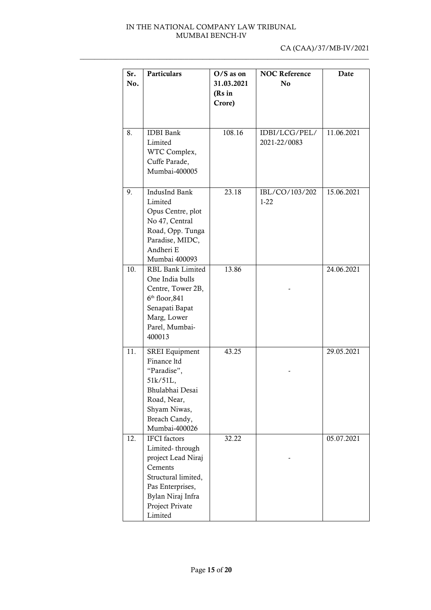| Sr.<br>No. | <b>Particulars</b>                                                                                                                                                    | $O/S$ as on<br>31.03.2021<br>(Rs in<br>Crore) | <b>NOC Reference</b><br>N <sub>0</sub> | Date       |
|------------|-----------------------------------------------------------------------------------------------------------------------------------------------------------------------|-----------------------------------------------|----------------------------------------|------------|
| 8.         | <b>IDBI</b> Bank<br>Limited<br>WTC Complex,<br>Cuffe Parade,<br>Mumbai-400005                                                                                         | 108.16                                        | IDBI/LCG/PEL/<br>2021-22/0083          | 11.06.2021 |
| 9.         | IndusInd Bank<br>Limited<br>Opus Centre, plot<br>No 47, Central<br>Road, Opp. Tunga<br>Paradise, MIDC,<br>Andheri E<br>Mumbai 400093                                  | 23.18                                         | IBL/CO/103/202<br>$1 - 22$             | 15.06.2021 |
| 10.        | <b>RBL Bank Limited</b><br>One India bulls<br>Centre, Tower 2B,<br>$6th$ floor, 841<br>Senapati Bapat<br>Marg, Lower<br>Parel, Mumbai-<br>400013                      | 13.86                                         |                                        | 24.06.2021 |
| 11.        | SREI Equipment<br>Finance ltd<br>"Paradise",<br>51k/51L,<br>Bhulabhai Desai<br>Road, Near,<br>Shyam Niwas,<br>Breach Candy,<br>Mumbai-400026                          | 43.25                                         |                                        | 29.05.2021 |
| 12.        | <b>IFCI</b> factors<br>Limited-through<br>project Lead Niraj<br>Cements<br>Structural limited,<br>Pas Enterprises,<br>Bylan Niraj Infra<br>Project Private<br>Limited | 32.22                                         |                                        | 05.07.2021 |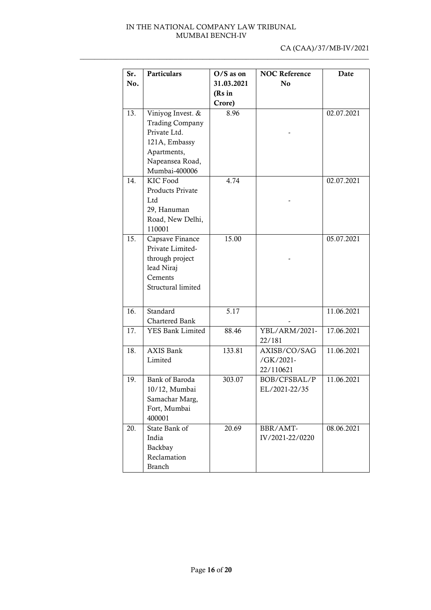| Sr.               | <b>Particulars</b>     | $O/S$ as on | <b>NOC Reference</b> | Date       |
|-------------------|------------------------|-------------|----------------------|------------|
| No.               |                        | 31.03.2021  | No                   |            |
|                   |                        | (Rs in      |                      |            |
|                   |                        | Crore)      |                      |            |
| 13.               | Viniyog Invest. &      | 8.96        |                      | 02.07.2021 |
|                   | <b>Trading Company</b> |             |                      |            |
|                   | Private Ltd.           |             |                      |            |
|                   | 121A, Embassy          |             |                      |            |
|                   | Apartments,            |             |                      |            |
|                   | Napeansea Road,        |             |                      |            |
|                   | Mumbai-400006          |             |                      |            |
| 14.               | KIC Food               | 4.74        |                      | 02.07.2021 |
|                   | Products Private       |             |                      |            |
|                   | Ltd                    |             |                      |            |
|                   | 29, Hanuman            |             |                      |            |
|                   | Road, New Delhi,       |             |                      |            |
|                   | 110001                 |             |                      |            |
| $\overline{15}$ . | Capsave Finance        | 15.00       |                      | 05.07.2021 |
|                   | Private Limited-       |             |                      |            |
|                   | through project        |             |                      |            |
|                   | lead Niraj             |             |                      |            |
|                   | Cements                |             |                      |            |
|                   | Structural limited     |             |                      |            |
|                   |                        |             |                      |            |
| 16.               | Standard               | 5.17        |                      | 11.06.2021 |
|                   | Chartered Bank         |             |                      |            |
| 17.               | YES Bank Limited       | 88.46       | YBL/ARM/2021-        | 17.06.2021 |
|                   |                        |             | 22/181               |            |
| 18.               | <b>AXIS Bank</b>       | 133.81      | AXISB/CO/SAG         | 11.06.2021 |
|                   | Limited                |             | /GK/2021-            |            |
|                   |                        |             | 22/110621            |            |
| 19.               | Bank of Baroda         | 303.07      | BOB/CFSBAL/P         | 11.06.2021 |
|                   | $10/12$ . Mumbai       |             | EL/2021-22/35        |            |
|                   | Samachar Marg,         |             |                      |            |
|                   | Fort, Mumbai           |             |                      |            |
|                   | 400001                 |             |                      |            |
| 20.               | State Bank of          | 20.69       | BBR/AMT-             | 08.06.2021 |
|                   | India                  |             | IV/2021-22/0220      |            |
|                   | Backbay                |             |                      |            |
|                   | Reclamation            |             |                      |            |
|                   | <b>Branch</b>          |             |                      |            |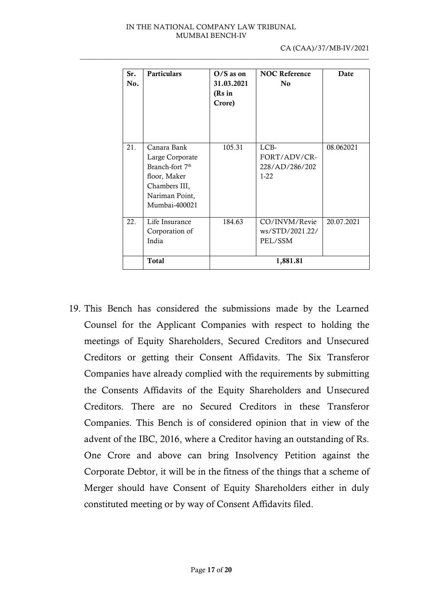| Sr.<br>No. | <b>Particulars</b>                                                                                                                | $O/S$ as on<br>31.03.2021<br>(Rs in<br>Crore) | <b>NOC Reference</b><br>N <sub>0</sub>           | Date       |
|------------|-----------------------------------------------------------------------------------------------------------------------------------|-----------------------------------------------|--------------------------------------------------|------------|
| 21.        | Canara Bank<br>Large Corporate<br>Branch-fort 7 <sup>th</sup><br>floor, Maker<br>Chambers III,<br>Nariman Point,<br>Mumbai-400021 | 105.31                                        | LCB-<br>FORT/ADV/CR-<br>228/AD/286/202<br>$1-22$ | 08.062021  |
| 22.        | Life Insurance<br>Corporation of<br>India                                                                                         | 184.63                                        | CO/INVM/Revie<br>ws/STD/2021.22/<br>PEL/SSM      | 20.07.2021 |
|            | <b>Total</b>                                                                                                                      |                                               | 1,881.81                                         |            |

19. This Bench has considered the submissions made by the Learned Counsel for the Applicant Companies with respect to holding the meetings of Equity Shareholders, Secured Creditors and Unsecured Creditors or getting their Consent Affidavits. The Six Transferor Companies have already complied with the requirements by submitting the Consents Affidavits of the Equity Shareholders and Unsecured Creditors. There are no Secured Creditors in these Transferor Companies. This Bench is of considered opinion that in view of the advent of the IBC, 2016, where a Creditor having an outstanding of Rs. One Crore and above can bring Insolvency Petition against the Corporate Debtor, it will be in the fitness of the things that a scheme of Merger should have Consent of Equity Shareholders either in duly constituted meeting or by way of Consent Affidavits filed.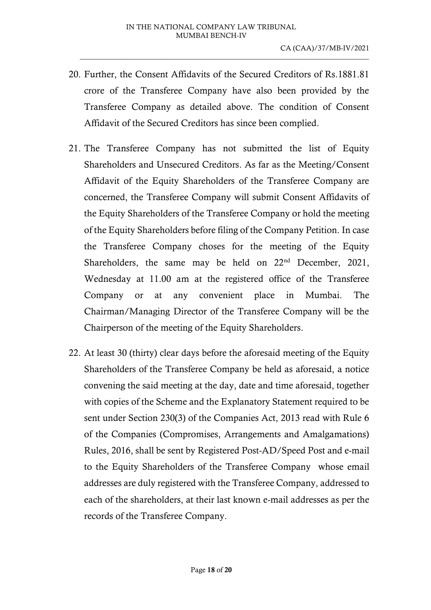- 20. Further, the Consent Affidavits of the Secured Creditors of Rs.1881.81 crore of the Transferee Company have also been provided by the Transferee Company as detailed above. The condition of Consent Affidavit of the Secured Creditors has since been complied.
- 21. The Transferee Company has not submitted the list of Equity Shareholders and Unsecured Creditors. As far as the Meeting/Consent Affidavit of the Equity Shareholders of the Transferee Company are concerned, the Transferee Company will submit Consent Affidavits of the Equity Shareholders of the Transferee Company or hold the meeting of the Equity Shareholders before filing of the Company Petition. In case the Transferee Company choses for the meeting of the Equity Shareholders, the same may be held on  $22<sup>nd</sup>$  December, 2021, Wednesday at 11.00 am at the registered office of the Transferee Company or at any convenient place in Mumbai. The Chairman/Managing Director of the Transferee Company will be the Chairperson of the meeting of the Equity Shareholders.
- 22. At least 30 (thirty) clear days before the aforesaid meeting of the Equity Shareholders of the Transferee Company be held as aforesaid, a notice convening the said meeting at the day, date and time aforesaid, together with copies of the Scheme and the Explanatory Statement required to be sent under Section 230(3) of the Companies Act, 2013 read with Rule 6 of the Companies (Compromises, Arrangements and Amalgamations) Rules, 2016, shall be sent by Registered Post-AD/Speed Post and e-mail to the Equity Shareholders of the Transferee Company whose email addresses are duly registered with the Transferee Company, addressed to each of the shareholders, at their last known e-mail addresses as per the records of the Transferee Company.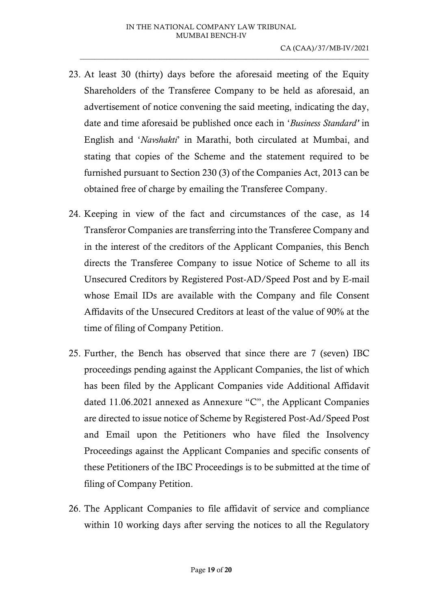- 23. At least 30 (thirty) days before the aforesaid meeting of the Equity Shareholders of the Transferee Company to be held as aforesaid, an advertisement of notice convening the said meeting, indicating the day, date and time aforesaid be published once each in '*Business Standard'* in English and '*Navshakti*' in Marathi, both circulated at Mumbai, and stating that copies of the Scheme and the statement required to be furnished pursuant to Section 230 (3) of the Companies Act, 2013 can be obtained free of charge by emailing the Transferee Company.
- 24. Keeping in view of the fact and circumstances of the case, as 14 Transferor Companies are transferring into the Transferee Company and in the interest of the creditors of the Applicant Companies, this Bench directs the Transferee Company to issue Notice of Scheme to all its Unsecured Creditors by Registered Post-AD/Speed Post and by E-mail whose Email IDs are available with the Company and file Consent Affidavits of the Unsecured Creditors at least of the value of 90% at the time of filing of Company Petition.
- 25. Further, the Bench has observed that since there are 7 (seven) IBC proceedings pending against the Applicant Companies, the list of which has been filed by the Applicant Companies vide Additional Affidavit dated 11.06.2021 annexed as Annexure "C", the Applicant Companies are directed to issue notice of Scheme by Registered Post-Ad/Speed Post and Email upon the Petitioners who have filed the Insolvency Proceedings against the Applicant Companies and specific consents of these Petitioners of the IBC Proceedings is to be submitted at the time of filing of Company Petition.
- 26. The Applicant Companies to file affidavit of service and compliance within 10 working days after serving the notices to all the Regulatory